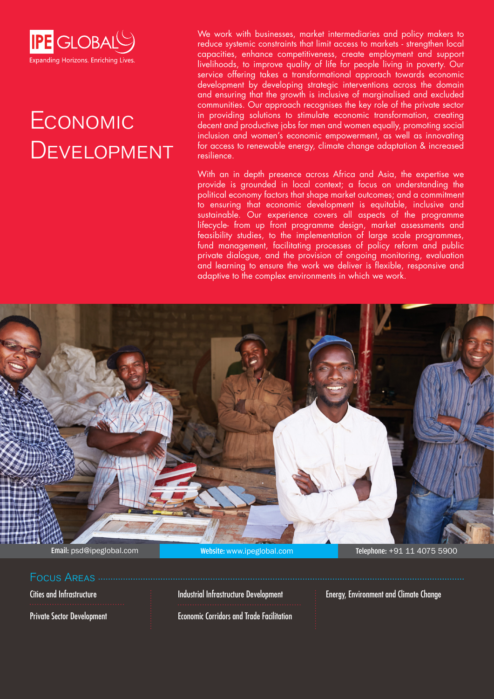

# **ECONOMIC DEVELOPMENT**

We work with businesses, market intermediaries and policy makers to reduce systemic constraints that limit access to markets - strengthen local capacities, enhance competitiveness, create employment and support livelihoods, to improve quality of life for people living in poverty. Our service offering takes a transformational approach towards economic development by developing strategic interventions across the domain and ensuring that the growth is inclusive of marginalised and excluded communities. Our approach recognises the key role of the private sector in providing solutions to stimulate economic transformation, creating decent and productive jobs for men and women equally, promoting social inclusion and women's economic empowerment, as well as innovating for access to renewable energy, climate change adaptation & increased resilience.

With an in depth presence across Africa and Asia, the expertise we provide is grounded in local context; a focus on understanding the political economy factors that shape market outcomes; and a commitment to ensuring that economic development is equitable, inclusive and sustainable. Our experience covers all aspects of the programme lifecycle- from up front programme design, market assessments and feasibility studies, to the implementation of large scale programmes, fund management, facilitating processes of policy reform and public private dialogue, and the provision of ongoing monitoring, evaluation and learning to ensure the work we deliver is flexible, responsive and adaptive to the complex environments in which we work.



### Focus Areas

Cities and Infrastructure

Private Sector Development

Industrial Infrastructure Development

Economic Corridors and Trade Facilitation

Energy, Environment and Climate Change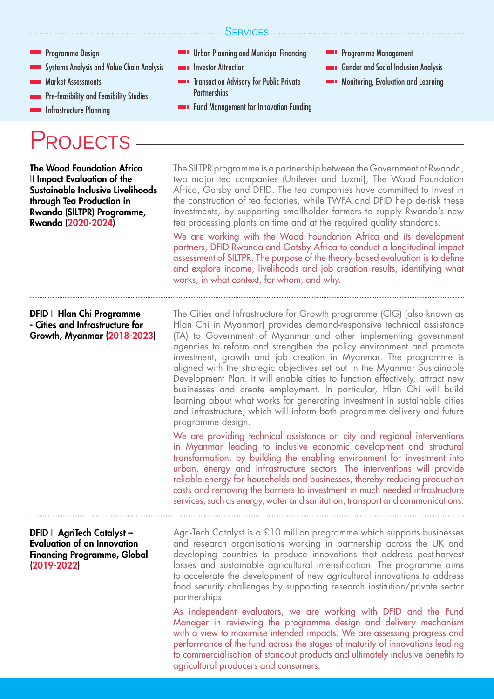- Programme Design
- Systems Analysis and Value Chain Analysis
- Market Assessments
- **Pre-feasibility and Feasibility Studies**
- **Infrastructure Planning**

## **ROJECTS**

Urban Planning and Municipal Financing

SERVICES ............

- **Investor Attraction**
- Transaction Advisory for Public Private **Partnerships**
- **Fund Management for Innovation Funding**
- Programme Management
- Gender and Social Inclusion Analysis
- **Monitoring, Evaluation and Learning**

The SILTPR programme is a partnership between the Government of Rwanda, two major tea companies (Unilever and Luxmi), The Wood Foundation Africa, Gatsby and DFID. The tea companies have committed to invest in the construction of tea factories, while TWFA and DFID help de-risk these investments, by supporting smallholder farmers to supply Rwanda's new tea processing plants on time and at the required quality standards. We are working with the Wood Foundation Africa and its development partners, DFID Rwanda and Gatsby Africa to conduct a longitudinal impact assessment of SILTPR. The purpose of the theory-based evaluation is to define and explore income, livelihoods and job creation results, identifying what works, in what context, for whom, and why. Agri-Tech Catalyst is a £10 million programme which supports businesses and research organisations working in partnership across the UK and developing countries to produce innovations that address post-harvest losses and sustainable agricultural intensification. The programme aims to accelerate the development of new agricultural innovations to address food security challenges by supporting research institution/private sector partnerships. As independent evaluators, we are working with DFID and the Fund Manager in reviewing the programme design and delivery mechanism with a view to maximise intended impacts. We are assessing progress and performance of the fund across the stages of maturity of innovations leading to commercialisation of standout products and ultimately inclusive benefits to agricultural producers and consumers. The Cities and Infrastructure for Growth programme (CIG) (also known as Hlan Chi in Myanmar) provides demand-responsive technical assistance (TA) to Government of Myanmar and other implementing government agencies to reform and strengthen the policy environment and promote investment, growth and job creation in Myanmar. The programme is aligned with the strategic objectives set out in the Myanmar Sustainable Development Plan. It will enable cities to function effectively, attract new businesses and create employment. In particular, Hlan Chi will build learning about what works for generating investment in sustainable cities and infrastructure, which will inform both programme delivery and future programme design. We are providing technical assistance on city and regional interventions in Myanmar leading to inclusive economic development and structural transformation, by building the enabling environment for investment into urban, energy and infrastructure sectors. The interventions will provide reliable energy for households and businesses, thereby reducing production costs and removing the barriers to investment in much needed infrastructure services, such as energy, water and sanitation, transport and communications. The Wood Foundation Africa II Impact Evaluation of the Sustainable Inclusive Livelihoods through Tea Production in Rwanda (SILTPR) Programme, Rwanda (2020-2024) DFID II AgriTech Catalyst – Evaluation of an Innovation Financing Programme, Global (2019-2022) DFID II Hlan Chi Programme - Cities and Infrastructure for Growth, Myanmar (2018-2023)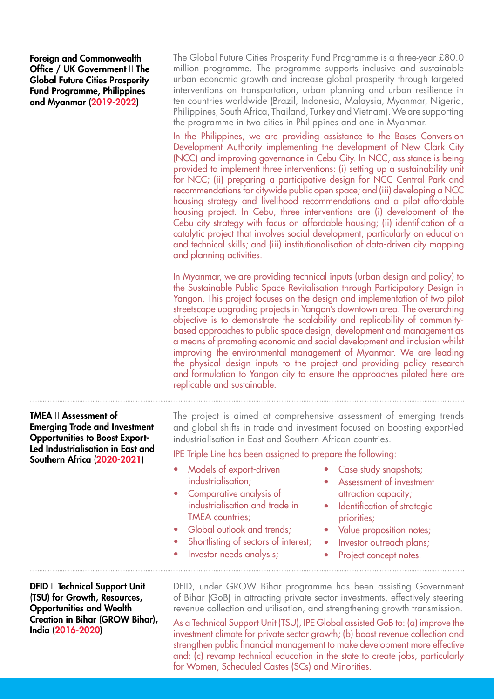Foreign and Commonwealth Office / UK Government II The Global Future Cities Prosperity Fund Programme, Philippines and Myanmar (2019-2022)

The Global Future Cities Prosperity Fund Programme is a three-year £80.0 million programme. The programme supports inclusive and sustainable urban economic growth and increase global prosperity through targeted interventions on transportation, urban planning and urban resilience in ten countries worldwide (Brazil, Indonesia, Malaysia, Myanmar, Nigeria, Philippines, South Africa, Thailand, Turkey and Vietnam). We are supporting the programme in two cities in Philippines and one in Myanmar.

In the Philippines, we are providing assistance to the Bases Conversion Development Authority implementing the development of New Clark City (NCC) and improving governance in Cebu City. In NCC, assistance is being provided to implement three interventions: (i) setting up a sustainability unit for NCC; (ii) preparing a participative design for NCC Central Park and recommendations for citywide public open space; and (iii) developing a NCC housing strategy and livelihood recommendations and a pilot affordable housing project. In Cebu, three interventions are (i) development of the Cebu city strategy with focus on affordable housing; (ii) identification of a catalytic project that involves social development, particularly on education and technical skills; and (iii) institutionalisation of data-driven city mapping and planning activities.

In Myanmar, we are providing technical inputs (urban design and policy) to the Sustainable Public Space Revitalisation through Participatory Design in Yangon. This project focuses on the design and implementation of two pilot streetscape upgrading projects in Yangon's downtown area. The overarching objective is to demonstrate the scalability and replicability of communitybased approaches to public space design, development and management as a means of promoting economic and social development and inclusion whilst improving the environmental management of Myanmar. We are leading the physical design inputs to the project and providing policy research and formulation to Yangon city to ensure the approaches piloted here are replicable and sustainable.

TMEA II Assessment of Emerging Trade and Investment Opportunities to Boost Export-Led Industrialisation in East and Southern Africa (2020-2021)

The project is aimed at comprehensive assessment of emerging trends and global shifts in trade and investment focused on boosting export-led industrialisation in East and Southern African countries.

IPE Triple Line has been assigned to prepare the following:

- Models of export-driven industrialisation;
- Comparative analysis of industrialisation and trade in TMEA countries;
- Global outlook and trends;
- Shortlisting of sectors of interest;
- Investor needs analysis;
- Case study snapshots;
- Assessment of investment attraction capacity;
- Identification of strategic priorities;
- Value proposition notes;
- Investor outreach plans;
- Project concept notes.

DFID II Technical Support Unit (TSU) for Growth, Resources, Opportunities and Wealth Creation in Bihar (GROW Bihar), India (2016-2020)

DFID, under GROW Bihar programme has been assisting Government of Bihar (GoB) in attracting private sector investments, effectively steering revenue collection and utilisation, and strengthening growth transmission.

As a Technical Support Unit (TSU), IPE Global assisted GoB to: (a) improve the investment climate for private sector growth; (b) boost revenue collection and strengthen public financial management to make development more effective and; (c) revamp technical education in the state to create jobs, particularly for Women, Scheduled Castes (SCs) and Minorities.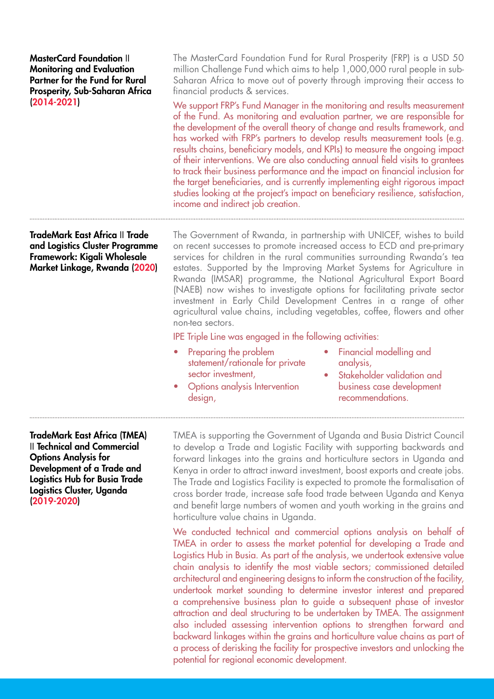MasterCard Foundation II Monitoring and Evaluation Partner for the Fund for Rural Prosperity, Sub-Saharan Africa (2014-2021)

TradeMark East Africa II Trade and Logistics Cluster Programme

Framework: Kigali Wholesale Market Linkage, Rwanda (2020) The MasterCard Foundation Fund for Rural Prosperity (FRP) is a USD 50 million Challenge Fund which aims to help 1,000,000 rural people in sub-Saharan Africa to move out of poverty through improving their access to financial products & services.

We support FRP's Fund Manager in the monitoring and results measurement of the Fund. As monitoring and evaluation partner, we are responsible for the development of the overall theory of change and results framework, and has worked with FRP's partners to develop results measurement tools (e.g. results chains, beneficiary models, and KPIs) to measure the ongoing impact of their interventions. We are also conducting annual field visits to grantees to track their business performance and the impact on financial inclusion for the target beneficiaries, and is currently implementing eight rigorous impact studies looking at the project's impact on beneficiary resilience, satisfaction, income and indirect job creation.

The Government of Rwanda, in partnership with UNICEF, wishes to build on recent successes to promote increased access to ECD and pre-primary services for children in the rural communities surrounding Rwanda's tea estates. Supported by the Improving Market Systems for Agriculture in Rwanda (IMSAR) programme, the National Agricultural Export Board (NAEB) now wishes to investigate options for facilitating private sector investment in Early Child Development Centres in a range of other agricultural value chains, including vegetables, coffee, flowers and other non-tea sectors.

IPE Triple Line was engaged in the following activities:

- Preparing the problem statement/rationale for private sector investment,
- Options analysis Intervention design,
- Financial modelling and analysis,
- Stakeholder validation and business case development recommendations.

TradeMark East Africa (TMEA) II Technical and Commercial Options Analysis for Development of a Trade and Logistics Hub for Busia Trade Logistics Cluster, Uganda (2019-2020)

TMEA is supporting the Government of Uganda and Busia District Council to develop a Trade and Logistic Facility with supporting backwards and forward linkages into the grains and horticulture sectors in Uganda and Kenya in order to attract inward investment, boost exports and create jobs. The Trade and Logistics Facility is expected to promote the formalisation of cross border trade, increase safe food trade between Uganda and Kenya and benefit large numbers of women and youth working in the grains and horticulture value chains in Uganda.

We conducted technical and commercial options analysis on behalf of TMEA in order to assess the market potential for developing a Trade and Logistics Hub in Busia. As part of the analysis, we undertook extensive value chain analysis to identify the most viable sectors; commissioned detailed architectural and engineering designs to inform the construction of the facility, undertook market sounding to determine investor interest and prepared a comprehensive business plan to guide a subsequent phase of investor attraction and deal structuring to be undertaken by TMEA. The assignment also included assessing intervention options to strengthen forward and backward linkages within the grains and horticulture value chains as part of a process of derisking the facility for prospective investors and unlocking the potential for regional economic development.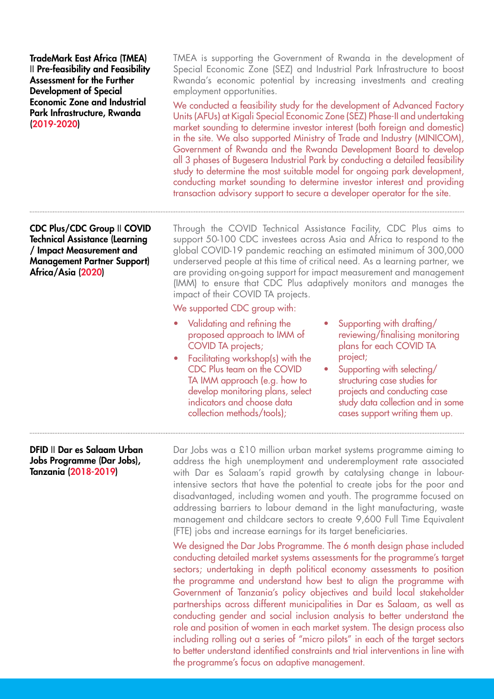TradeMark East Africa (TMEA) II Pre-feasibility and Feasibility Assessment for the Further Development of Special Economic Zone and Industrial Park Infrastructure, Rwanda (2019-2020)

CDC Plus/CDC Group II COVID Technical Assistance (Learning / Impact Measurement and Management Partner Support) Africa/Asia (2020)

TMEA is supporting the Government of Rwanda in the development of Special Economic Zone (SEZ) and Industrial Park Infrastructure to boost Rwanda's economic potential by increasing investments and creating employment opportunities.

We conducted a feasibility study for the development of Advanced Factory Units (AFUs) at Kigali Special Economic Zone (SEZ) Phase-II and undertaking market sounding to determine investor interest (both foreign and domestic) in the site. We also supported Ministry of Trade and Industry (MINICOM), Government of Rwanda and the Rwanda Development Board to develop all 3 phases of Bugesera Industrial Park by conducting a detailed feasibility study to determine the most suitable model for ongoing park development, conducting market sounding to determine investor interest and providing transaction advisory support to secure a developer operator for the site.

Through the COVID Technical Assistance Facility, CDC Plus aims to support 50-100 CDC investees across Asia and Africa to respond to the global COVID-19 pandemic reaching an estimated minimum of 300,000 underserved people at this time of critical need. As a learning partner, we are providing on-going support for impact measurement and management (IMM) to ensure that CDC Plus adaptively monitors and manages the impact of their COVID TA projects.

#### We supported CDC group with:

- Validating and refining the proposed approach to IMM of COVID TA projects;
- Facilitating workshop(s) with the CDC Plus team on the COVID TA IMM approach (e.g. how to develop monitoring plans, select indicators and choose data collection methods/tools);
- Supporting with drafting/ reviewing/finalising monitoring plans for each COVID TA project;
- Supporting with selecting/ structuring case studies for projects and conducting case study data collection and in some cases support writing them up.

### DFID II Dar es Salaam Urban Jobs Programme (Dar Jobs), Tanzania (2018-2019)

Dar Jobs was a £10 million urban market systems programme aiming to address the high unemployment and underemployment rate associated with Dar es Salaam's rapid growth by catalysing change in labourintensive sectors that have the potential to create jobs for the poor and disadvantaged, including women and youth. The programme focused on addressing barriers to labour demand in the light manufacturing, waste management and childcare sectors to create 9,600 Full Time Equivalent (FTE) jobs and increase earnings for its target beneficiaries.

We designed the Dar Jobs Programme. The 6 month design phase included conducting detailed market systems assessments for the programme's target sectors; undertaking in depth political economy assessments to position the programme and understand how best to align the programme with Government of Tanzania's policy objectives and build local stakeholder partnerships across different municipalities in Dar es Salaam, as well as conducting gender and social inclusion analysis to better understand the role and position of women in each market system. The design process also including rolling out a series of "micro pilots" in each of the target sectors to better understand identified constraints and trial interventions in line with the programme's focus on adaptive management.